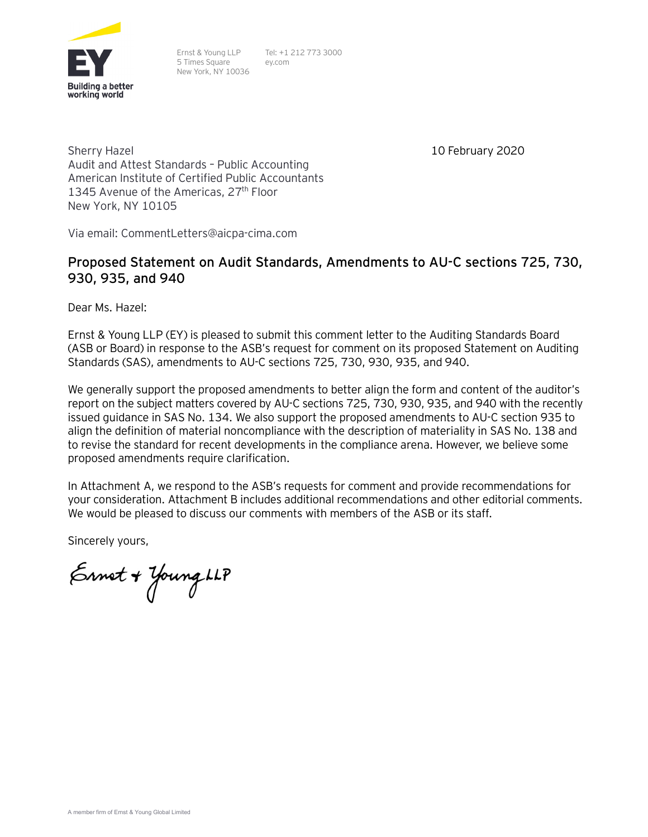

Ernst & Young LLP 5 Times Square New York, NY 10036

Tel: +1 212 773 3000 ey.com

10 February 2020

Sherry Hazel Audit and Attest Standards – Public Accounting American Institute of Certified Public Accountants 1345 Avenue of the Americas, 27<sup>th</sup> Floor New York, NY 10105

Via email: CommentLetters@aicpa-cima.com

# **Proposed Statement on Audit Standards, Amendments to AU-C sections 725, 730, 930, 935, and 940**

Dear Ms. Hazel:

Ernst & Young LLP (EY) is pleased to submit this comment letter to the Auditing Standards Board (ASB or Board) in response to the ASB's request for comment on its proposed Statement on Auditing Standards (SAS), amendments to AU-C sections 725, 730, 930, 935, and 940.

We generally support the proposed amendments to better align the form and content of the auditor's report on the subject matters covered by AU-C sections 725, 730, 930, 935, and 940 with the recently issued guidance in SAS No. 134. We also support the proposed amendments to AU-C section 935 to align the definition of material noncompliance with the description of materiality in SAS No. 138 and to revise the standard for recent developments in the compliance arena. However, we believe some proposed amendments require clarification.

In Attachment A, we respond to the ASB's requests for comment and provide recommendations for your consideration. Attachment B includes additional recommendations and other editorial comments. We would be pleased to discuss our comments with members of the ASB or its staff.

Sincerely yours,

Ernet + Young LLP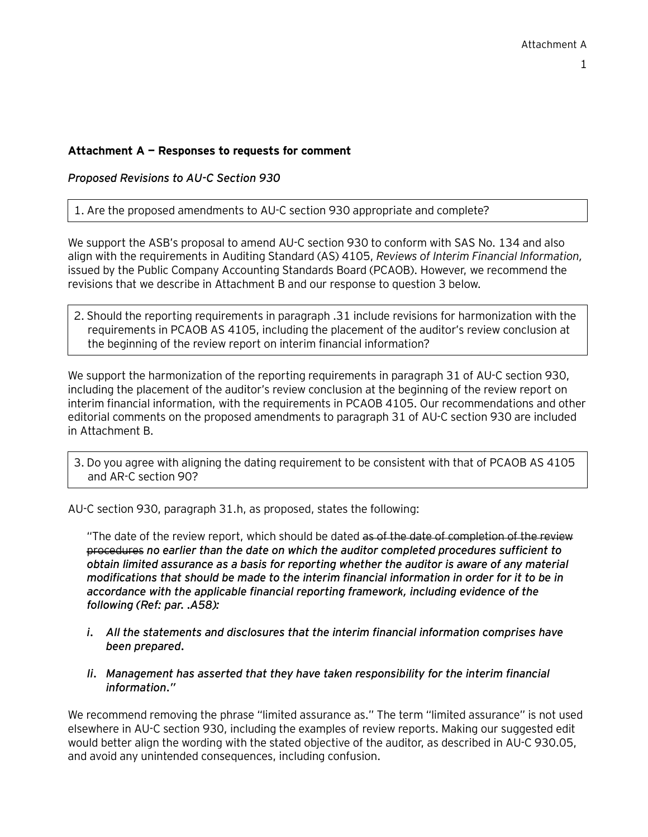### **Attachment A — Responses to requests for comment**

*Proposed Revisions to AU-C Section 930*

1. Are the proposed amendments to AU-C section 930 appropriate and complete?

We support the ASB's proposal to amend AU-C section 930 to conform with SAS No. 134 and also align with the requirements in Auditing Standard (AS) 4105, *Reviews of Interim Financial Information,* issued by the Public Company Accounting Standards Board (PCAOB). However, we recommend the revisions that we describe in Attachment B and our response to question 3 below.

2. Should the reporting requirements in paragraph .31 include revisions for harmonization with the requirements in PCAOB AS 4105, including the placement of the auditor's review conclusion at the beginning of the review report on interim financial information?

We support the harmonization of the reporting requirements in paragraph 31 of AU-C section 930. including the placement of the auditor's review conclusion at the beginning of the review report on interim financial information, with the requirements in PCAOB 4105. Our recommendations and other editorial comments on the proposed amendments to paragraph 31 of AU-C section 930 are included in Attachment B.

3. Do you agree with aligning the dating requirement to be consistent with that of PCAOB AS 4105 and AR-C section 90?

AU-C section 930, paragraph 31.h, as proposed, states the following:

"The date of the review report, which should be dated as of the date of completion of the review procedures *no earlier than the date on which the auditor completed procedures sufficient to obtain limited assurance as a basis for reporting whether the auditor is aware of any material modifications that should be made to the interim financial information in order for it to be in accordance with the applicable financial reporting framework, including evidence of the following (Ref: par. .A58):*

- *i. All the statements and disclosures that the interim financial information comprises have been prepared.*
- *Ii. Management has asserted that they have taken responsibility for the interim financial information."*

We recommend removing the phrase "limited assurance as." The term "limited assurance" is not used elsewhere in AU-C section 930, including the examples of review reports. Making our suggested edit would better align the wording with the stated objective of the auditor, as described in AU-C 930.05, and avoid any unintended consequences, including confusion.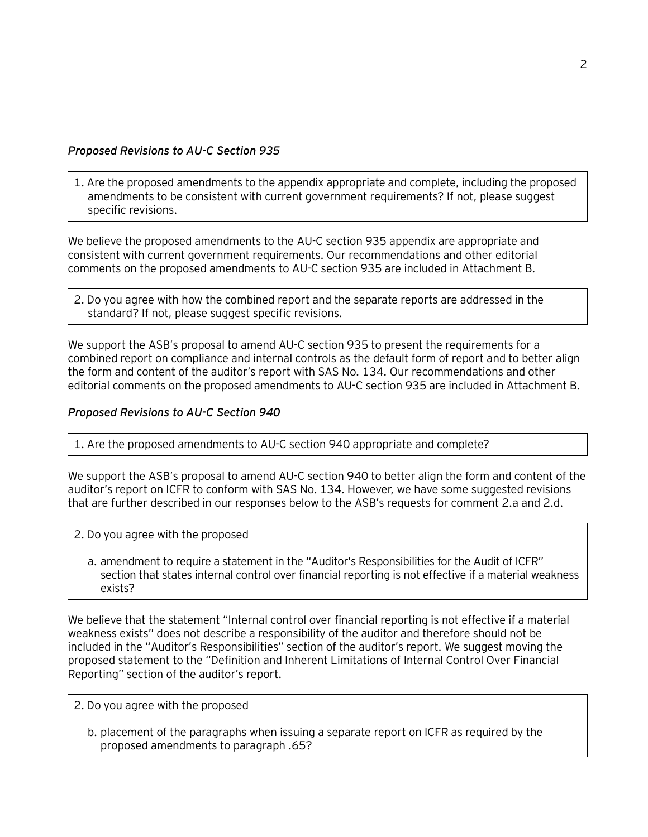## *Proposed Revisions to AU-C Section 935*

1. Are the proposed amendments to the appendix appropriate and complete, including the proposed amendments to be consistent with current government requirements? If not, please suggest specific revisions.

We believe the proposed amendments to the AU-C section 935 appendix are appropriate and consistent with current government requirements. Our recommendations and other editorial comments on the proposed amendments to AU-C section 935 are included in Attachment B.

2. Do you agree with how the combined report and the separate reports are addressed in the standard? If not, please suggest specific revisions.

We support the ASB's proposal to amend AU-C section 935 to present the requirements for a combined report on compliance and internal controls as the default form of report and to better align the form and content of the auditor's report with SAS No. 134. Our recommendations and other editorial comments on the proposed amendments to AU-C section 935 are included in Attachment B.

#### *Proposed Revisions to AU-C Section 940*

1. Are the proposed amendments to AU-C section 940 appropriate and complete?

We support the ASB's proposal to amend AU-C section 940 to better align the form and content of the auditor's report on ICFR to conform with SAS No. 134. However, we have some suggested revisions that are further described in our responses below to the ASB's requests for comment 2.a and 2.d.

- 2. Do you agree with the proposed
	- a. amendment to require a statement in the "Auditor's Responsibilities for the Audit of ICFR" section that states internal control over financial reporting is not effective if a material weakness exists?

We believe that the statement "Internal control over financial reporting is not effective if a material weakness exists" does not describe a responsibility of the auditor and therefore should not be included in the "Auditor's Responsibilities" section of the auditor's report. We suggest moving the proposed statement to the "Definition and Inherent Limitations of Internal Control Over Financial Reporting" section of the auditor's report.

- 2. Do you agree with the proposed
	- b. placement of the paragraphs when issuing a separate report on ICFR as required by the proposed amendments to paragraph .65?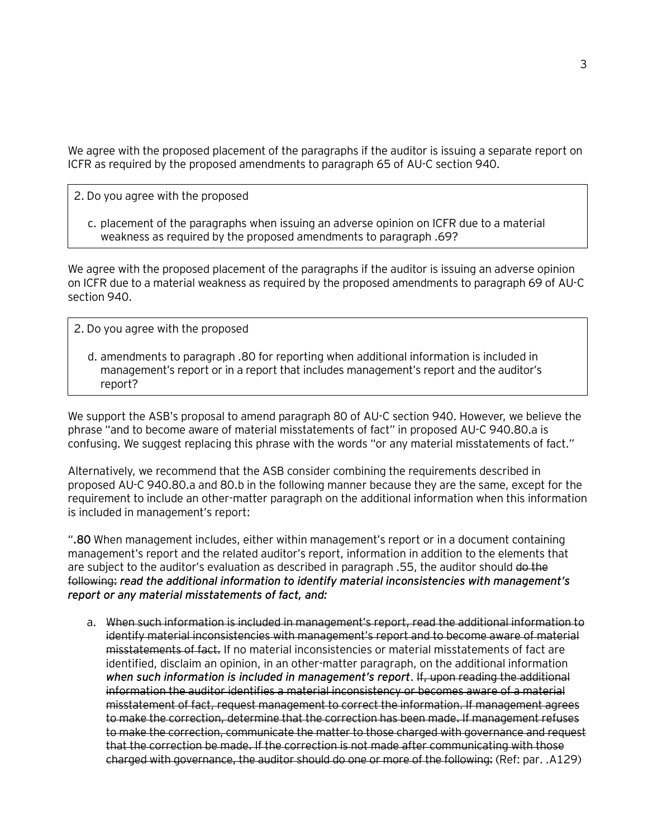We agree with the proposed placement of the paragraphs if the auditor is issuing a separate report on ICFR as required by the proposed amendments to paragraph 65 of AU-C section 940.

- 2. Do you agree with the proposed
	- c. placement of the paragraphs when issuing an adverse opinion on ICFR due to a material weakness as required by the proposed amendments to paragraph .69?

We agree with the proposed placement of the paragraphs if the auditor is issuing an adverse opinion on ICFR due to a material weakness as required by the proposed amendments to paragraph 69 of AU-C section 940.

- 2. Do you agree with the proposed
	- d. amendments to paragraph .80 for reporting when additional information is included in management's report or in a report that includes management's report and the auditor's report?

We support the ASB's proposal to amend paragraph 80 of AU-C section 940. However, we believe the phrase "and to become aware of material misstatements of fact" in proposed AU-C 940.80.a is confusing. We suggest replacing this phrase with the words "or any material misstatements of fact."

Alternatively, we recommend that the ASB consider combining the requirements described in proposed AU-C 940.80.a and 80.b in the following manner because they are the same, except for the requirement to include an other-matter paragraph on the additional information when this information is included in management's report:

"**.80** When management includes, either within management's report or in a document containing management's report and the related auditor's report, information in addition to the elements that are subject to the auditor's evaluation as described in paragraph .55, the auditor should do the following: *read the additional information to identify material inconsistencies with management's report or any material misstatements of fact, and:*

a. When such information is included in management's report, read the additional information to identify material inconsistencies with management's report and to become aware of material misstatements of fact. If no material inconsistencies or material misstatements of fact are identified, disclaim an opinion, in an other-matter paragraph, on the additional information *when such information is included in management's report*. If, upon reading the additional information the auditor identifies a material inconsistency or becomes aware of a material misstatement of fact, request management to correct the information. If management agrees to make the correction, determine that the correction has been made. If management refuses to make the correction, communicate the matter to those charged with governance and request that the correction be made. If the correction is not made after communicating with those charged with governance, the auditor should do one or more of the following: (Ref: par. .A129)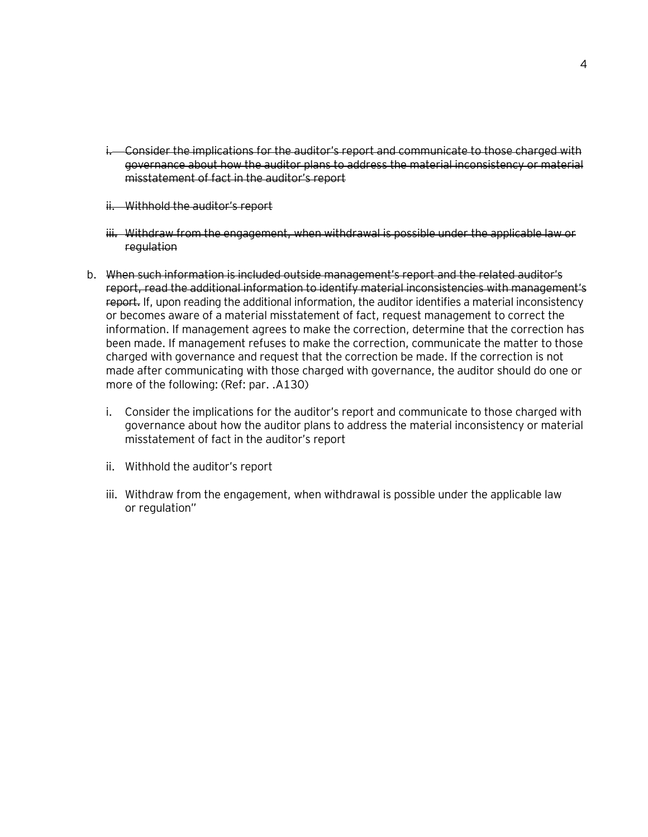- i. Consider the implications for the auditor's report and communicate to those charged with governance about how the auditor plans to address the material inconsistency or material misstatement of fact in the auditor's report
- ii. Withhold the auditor's report
- iii. Withdraw from the engagement, when withdrawal is possible under the applicable law or regulation
- b. When such information is included outside management's report and the related auditor's report, read the additional information to identify material inconsistencies with management's report. If, upon reading the additional information, the auditor identifies a material inconsistency or becomes aware of a material misstatement of fact, request management to correct the information. If management agrees to make the correction, determine that the correction has been made. If management refuses to make the correction, communicate the matter to those charged with governance and request that the correction be made. If the correction is not made after communicating with those charged with governance, the auditor should do one or more of the following: (Ref: par. .A130)
	- i. Consider the implications for the auditor's report and communicate to those charged with governance about how the auditor plans to address the material inconsistency or material misstatement of fact in the auditor's report
	- ii. Withhold the auditor's report
	- iii. Withdraw from the engagement, when withdrawal is possible under the applicable law or regulation"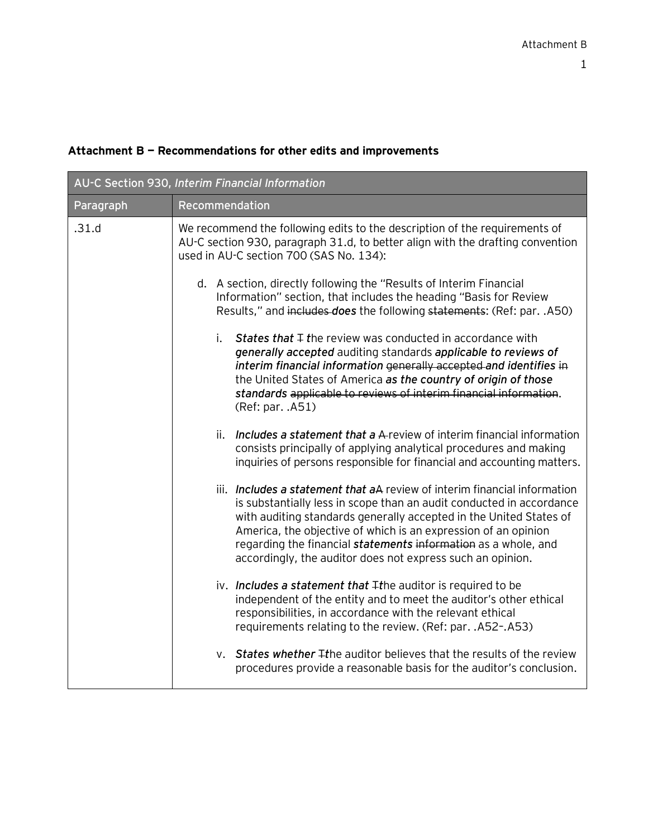## **Attachment B — Recommendations for other edits and improvements**

| AU-C Section 930, Interim Financial Information |                                                                                                                                                                                                                                                                                                                                                                                                                           |  |
|-------------------------------------------------|---------------------------------------------------------------------------------------------------------------------------------------------------------------------------------------------------------------------------------------------------------------------------------------------------------------------------------------------------------------------------------------------------------------------------|--|
| Paragraph                                       | Recommendation                                                                                                                                                                                                                                                                                                                                                                                                            |  |
| .31.d                                           | We recommend the following edits to the description of the requirements of<br>AU-C section 930, paragraph 31.d, to better align with the drafting convention<br>used in AU-C section 700 (SAS No. 134):                                                                                                                                                                                                                   |  |
|                                                 | d. A section, directly following the "Results of Interim Financial<br>Information" section, that includes the heading "Basis for Review<br>Results," and includes does the following statements: (Ref: par. . A50)                                                                                                                                                                                                        |  |
|                                                 | i.<br><b>States that <math>\mp</math> the review was conducted in accordance with</b><br>generally accepted auditing standards applicable to reviews of<br>interim financial information generally accepted and identifies in<br>the United States of America as the country of origin of those<br>standards applicable to reviews of interim financial information.<br>(Ref: par. .A51)                                  |  |
|                                                 | Includes a statement that a A-review of interim financial information<br>ii.<br>consists principally of applying analytical procedures and making<br>inquiries of persons responsible for financial and accounting matters.                                                                                                                                                                                               |  |
|                                                 | iii. Includes a statement that aA review of interim financial information<br>is substantially less in scope than an audit conducted in accordance<br>with auditing standards generally accepted in the United States of<br>America, the objective of which is an expression of an opinion<br>regarding the financial statements information as a whole, and<br>accordingly, the auditor does not express such an opinion. |  |
|                                                 | iv. Includes a statement that $\mp$ the auditor is required to be<br>independent of the entity and to meet the auditor's other ethical<br>responsibilities, in accordance with the relevant ethical<br>requirements relating to the review. (Ref: par. .A52-.A53)                                                                                                                                                         |  |
|                                                 | v. States whether Ithe auditor believes that the results of the review<br>procedures provide a reasonable basis for the auditor's conclusion.                                                                                                                                                                                                                                                                             |  |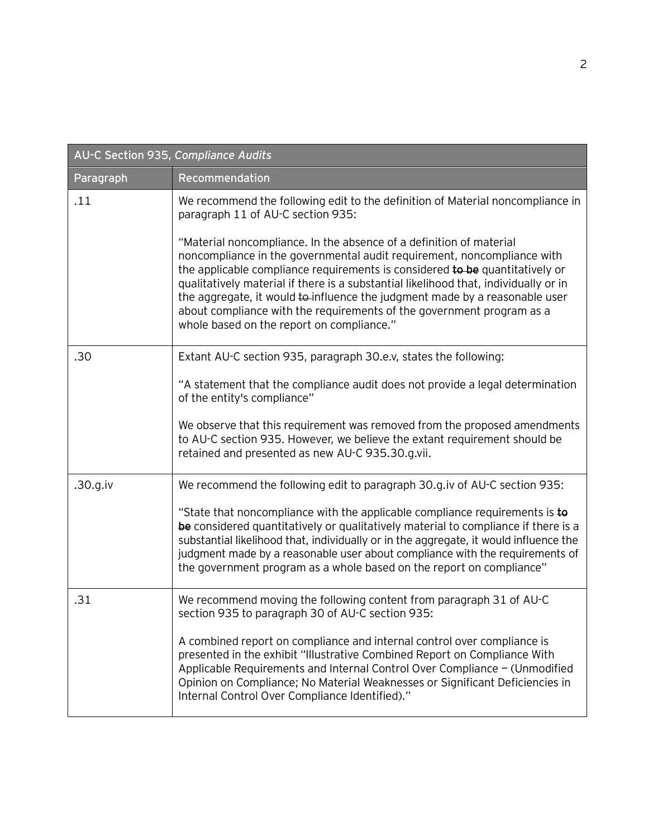| AU-C Section 935, Compliance Audits |                                                                                                                                                                                                                                                                                                                                                                                                                                                                                                                             |  |
|-------------------------------------|-----------------------------------------------------------------------------------------------------------------------------------------------------------------------------------------------------------------------------------------------------------------------------------------------------------------------------------------------------------------------------------------------------------------------------------------------------------------------------------------------------------------------------|--|
| Paragraph                           | Recommendation                                                                                                                                                                                                                                                                                                                                                                                                                                                                                                              |  |
| .11                                 | We recommend the following edit to the definition of Material noncompliance in<br>paragraph 11 of AU-C section 935:                                                                                                                                                                                                                                                                                                                                                                                                         |  |
|                                     | "Material noncompliance. In the absence of a definition of material<br>noncompliance in the governmental audit requirement, noncompliance with<br>the applicable compliance requirements is considered to be quantitatively or<br>qualitatively material if there is a substantial likelihood that, individually or in<br>the aggregate, it would to influence the judgment made by a reasonable user<br>about compliance with the requirements of the government program as a<br>whole based on the report on compliance." |  |
| .30                                 | Extant AU-C section 935, paragraph 30.e.v, states the following:                                                                                                                                                                                                                                                                                                                                                                                                                                                            |  |
|                                     | "A statement that the compliance audit does not provide a legal determination<br>of the entity's compliance"                                                                                                                                                                                                                                                                                                                                                                                                                |  |
|                                     | We observe that this requirement was removed from the proposed amendments<br>to AU-C section 935. However, we believe the extant requirement should be<br>retained and presented as new AU-C 935.30.g.vii.                                                                                                                                                                                                                                                                                                                  |  |
| .30.g.iv                            | We recommend the following edit to paragraph 30.g.iv of AU-C section 935:                                                                                                                                                                                                                                                                                                                                                                                                                                                   |  |
|                                     | "State that noncompliance with the applicable compliance requirements is to<br>be considered quantitatively or qualitatively material to compliance if there is a<br>substantial likelihood that, individually or in the aggregate, it would influence the<br>judgment made by a reasonable user about compliance with the requirements of<br>the government program as a whole based on the report on compliance"                                                                                                          |  |
| .31                                 | We recommend moving the following content from paragraph 31 of AU-C<br>section 935 to paragraph 30 of AU-C section 935:                                                                                                                                                                                                                                                                                                                                                                                                     |  |
|                                     | A combined report on compliance and internal control over compliance is<br>presented in the exhibit "Illustrative Combined Report on Compliance With<br>Applicable Requirements and Internal Control Over Compliance - (Unmodified<br>Opinion on Compliance; No Material Weaknesses or Significant Deficiencies in<br>Internal Control Over Compliance Identified)."                                                                                                                                                        |  |